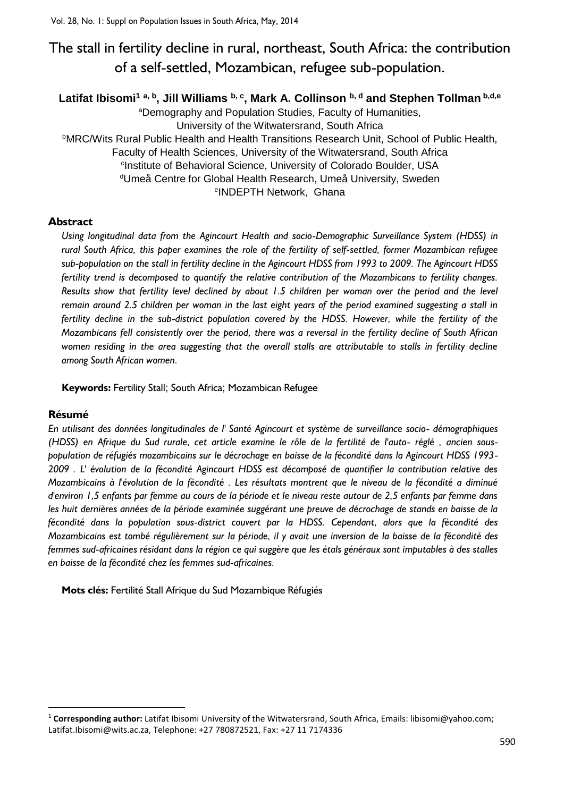# The stall in fertility decline in rural, northeast, South Africa: the contribution of a self-settled, Mozambican, refugee sub-population.

## **Latifat Ibisomi<sup>1</sup> a, b, Jill Williams b, c, Mark A. Collinson b, d and Stephen Tollman b,d,<sup>e</sup>**

<sup>a</sup>Demography and Population Studies, Faculty of Humanities, University of the Witwatersrand, South Africa **bMRC/Wits Rural Public Health and Health Transitions Research Unit, School of Public Health,** Faculty of Health Sciences, University of the Witwatersrand, South Africa <sup>c</sup>Institute of Behavioral Science, University of Colorado Boulder, USA <sup>d</sup>Umeå Centre for Global Health Research, Umeå University, Sweden e INDEPTH Network, Ghana

## **Abstract**

*Using longitudinal data from the Agincourt Health and socio-Demographic Surveillance System (HDSS) in rural South Africa, this paper examines the role of the fertility of self-settled, former Mozambican refugee sub-population on the stall in fertility decline in the Agincourt HDSS from 1993 to 2009. The Agincourt HDSS fertility trend is decomposed to quantify the relative contribution of the Mozambicans to fertility changes. Results show that fertility level declined by about 1.5 children per woman over the period and the level remain around 2.5 children per woman in the last eight years of the period examined suggesting a stall in fertility decline in the sub-district population covered by the HDSS. However, while the fertility of the Mozambicans fell consistently over the period, there was a reversal in the fertility decline of South African women residing in the area suggesting that the overall stalls are attributable to stalls in fertility decline among South African women.*

**Keywords:** Fertility Stall; South Africa; Mozambican Refugee

## **Résumé**

1

*En utilisant des données longitudinales de l' Santé Agincourt et système de surveillance socio- démographiques (HDSS) en Afrique du Sud rurale, cet article examine le rôle de la fertilité de l'auto- réglé , ancien souspopulation de réfugiés mozambicains sur le décrochage en baisse de la fécondité dans la Agincourt HDSS 1993- 2009 . L' évolution de la fécondité Agincourt HDSS est décomposé de quantifier la contribution relative des Mozambicains à l'évolution de la fécondité . Les résultats montrent que le niveau de la fécondité a diminué d'environ 1,5 enfants par femme au cours de la période et le niveau reste autour de 2,5 enfants par femme dans les huit dernières années de la période examinée suggérant une preuve de décrochage de stands en baisse de la fécondité dans la population sous-district couvert par la HDSS. Cependant, alors que la fécondité des Mozambicains est tombé régulièrement sur la période, il y avait une inversion de la baisse de la fécondité des femmes sud-africaines résidant dans la région ce qui suggère que les étals généraux sont imputables à des stalles en baisse de la fécondité chez les femmes sud-africaines.*

**Mots clés:** Fertilité Stall Afrique du Sud Mozambique Réfugiés

<sup>1</sup> **Corresponding author:** Latifat Ibisomi University of the Witwatersrand, South Africa, Emails: libisomi@yahoo.com; Latifat.Ibisomi@wits.ac.za, Telephone: +27 780872521, Fax: +27 11 7174336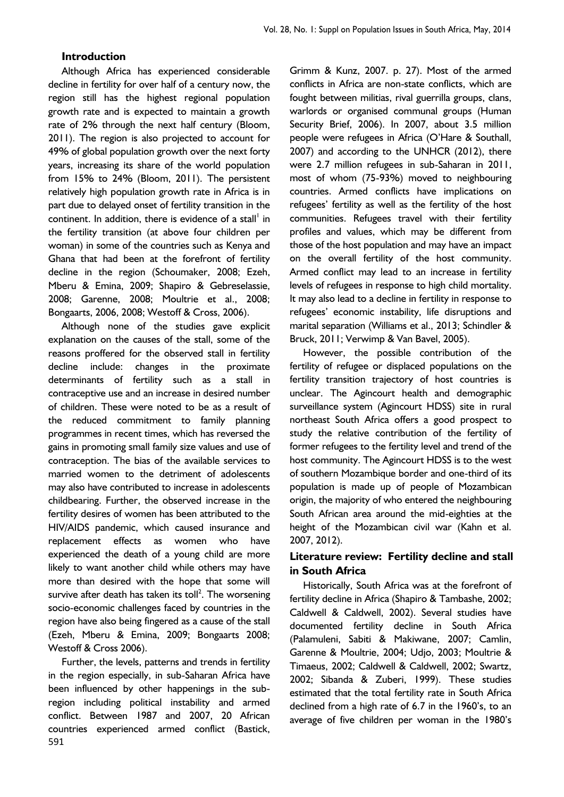#### **Introduction**

Although Africa has experienced considerable decline in fertility for over half of a century now, the region still has the highest regional population growth rate and is expected to maintain a growth rate of 2% through the next half century (Bloom, 2011). The region is also projected to account for 49% of global population growth over the next forty years, increasing its share of the world population from 15% to 24% (Bloom, 2011). The persistent relatively high population growth rate in Africa is in part due to delayed onset of fertility transition in the continent. In addition, there is evidence of a stall $^{\dagger}$  in the fertility transition (at above four children per woman) in some of the countries such as Kenya and Ghana that had been at the forefront of fertility decline in the region (Schoumaker, 2008; Ezeh, Mberu & Emina, 2009; Shapiro & Gebreselassie, 2008; Garenne, 2008; Moultrie et al., 2008; Bongaarts, 2006, 2008; Westoff & Cross, 2006).

Although none of the studies gave explicit explanation on the causes of the stall, some of the reasons proffered for the observed stall in fertility decline include: changes in the proximate determinants of fertility such as a stall in contraceptive use and an increase in desired number of children. These were noted to be as a result of the reduced commitment to family planning programmes in recent times, which has reversed the gains in promoting small family size values and use of contraception. The bias of the available services to married women to the detriment of adolescents may also have contributed to increase in adolescents childbearing. Further, the observed increase in the fertility desires of women has been attributed to the HIV/AIDS pandemic, which caused insurance and replacement effects as women who have experienced the death of a young child are more likely to want another child while others may have more than desired with the hope that some will survive after death has taken its toll<sup>2</sup>. The worsening socio-economic challenges faced by countries in the region have also being fingered as a cause of the stall (Ezeh, Mberu & Emina, 2009; Bongaarts 2008; Westoff & Cross 2006).

591 Further, the levels, patterns and trends in fertility in the region especially, in sub-Saharan Africa have been influenced by other happenings in the subregion including political instability and armed conflict. Between 1987 and 2007, 20 African countries experienced armed conflict (Bastick,

Grimm & Kunz, 2007. p. 27). Most of the armed conflicts in Africa are non-state conflicts, which are fought between militias, rival guerrilla groups, clans, warlords or organised communal groups (Human Security Brief, 2006). In 2007, about 3.5 million people were refugees in Africa (O'Hare & Southall, 2007) and according to the UNHCR (2012), there were 2.7 million refugees in sub-Saharan in 2011, most of whom (75-93%) moved to neighbouring countries. Armed conflicts have implications on refugees' fertility as well as the fertility of the host communities. Refugees travel with their fertility profiles and values, which may be different from those of the host population and may have an impact on the overall fertility of the host community. Armed conflict may lead to an increase in fertility levels of refugees in response to high child mortality. It may also lead to a decline in fertility in response to refugees' economic instability, life disruptions and marital separation (Williams et al., 2013; Schindler & Bruck, 2011; Verwimp & Van Bavel, 2005).

However, the possible contribution of the fertility of refugee or displaced populations on the fertility transition trajectory of host countries is unclear. The Agincourt health and demographic surveillance system (Agincourt HDSS) site in rural northeast South Africa offers a good prospect to study the relative contribution of the fertility of former refugees to the fertility level and trend of the host community. The Agincourt HDSS is to the west of southern Mozambique border and one-third of its population is made up of people of Mozambican origin, the majority of who entered the neighbouring South African area around the mid-eighties at the height of the Mozambican civil war (Kahn et al. 2007, 2012).

## **Literature review: Fertility decline and stall in South Africa**

Historically, South Africa was at the forefront of fertility decline in Africa (Shapiro & Tambashe, 2002; Caldwell & Caldwell, 2002). Several studies have documented fertility decline in South Africa (Palamuleni, Sabiti & Makiwane, 2007; Camlin, Garenne & Moultrie, 2004; Udjo, 2003; Moultrie & Timaeus, 2002; Caldwell & Caldwell, 2002; Swartz, 2002; Sibanda & Zuberi, 1999). These studies estimated that the total fertility rate in South Africa declined from a high rate of 6.7 in the 1960's, to an average of five children per woman in the 1980's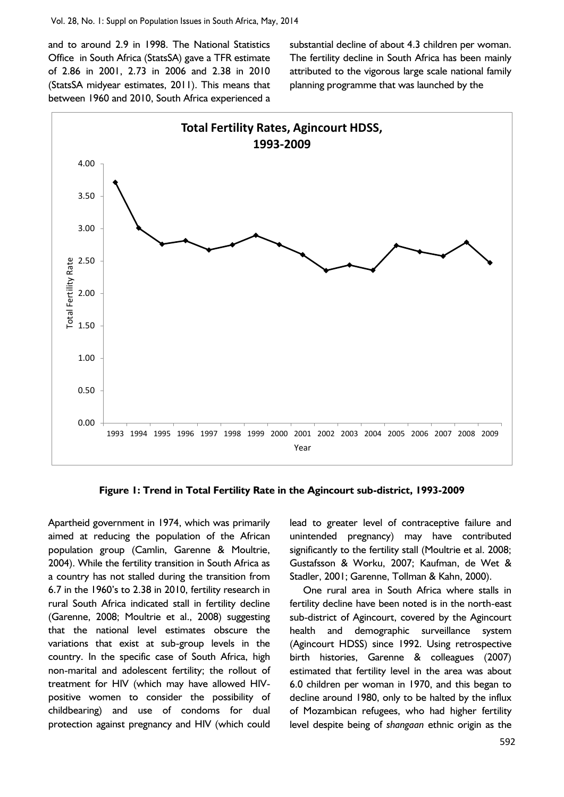and to around 2.9 in 1998. The National Statistics Office in South Africa (StatsSA) gave a TFR estimate of 2.86 in 2001, 2.73 in 2006 and 2.38 in 2010 (StatsSA midyear estimates, 2011). This means that between 1960 and 2010, South Africa experienced a

substantial decline of about 4.3 children per woman. The fertility decline in South Africa has been mainly attributed to the vigorous large scale national family planning programme that was launched by the



**Figure 1: Trend in Total Fertility Rate in the Agincourt sub-district, 1993-2009**

Apartheid government in 1974, which was primarily aimed at reducing the population of the African population group (Camlin, Garenne & Moultrie, 2004). While the fertility transition in South Africa as a country has not stalled during the transition from 6.7 in the 1960's to 2.38 in 2010, fertility research in rural South Africa indicated stall in fertility decline (Garenne, 2008; Moultrie et al., 2008) suggesting that the national level estimates obscure the variations that exist at sub-group levels in the country. In the specific case of South Africa, high non-marital and adolescent fertility; the rollout of treatment for HIV (which may have allowed HIVpositive women to consider the possibility of childbearing) and use of condoms for dual protection against pregnancy and HIV (which could lead to greater level of contraceptive failure and unintended pregnancy) may have contributed significantly to the fertility stall (Moultrie et al. 2008; Gustafsson & Worku, 2007; Kaufman, de Wet & Stadler, 2001; Garenne, Tollman & Kahn, 2000).

One rural area in South Africa where stalls in fertility decline have been noted is in the north-east sub-district of Agincourt, covered by the Agincourt health and demographic surveillance system (Agincourt HDSS) since 1992. Using retrospective birth histories, Garenne & colleagues (2007) estimated that fertility level in the area was about 6.0 children per woman in 1970, and this began to decline around 1980, only to be halted by the influx of Mozambican refugees, who had higher fertility level despite being of *shangaan* ethnic origin as the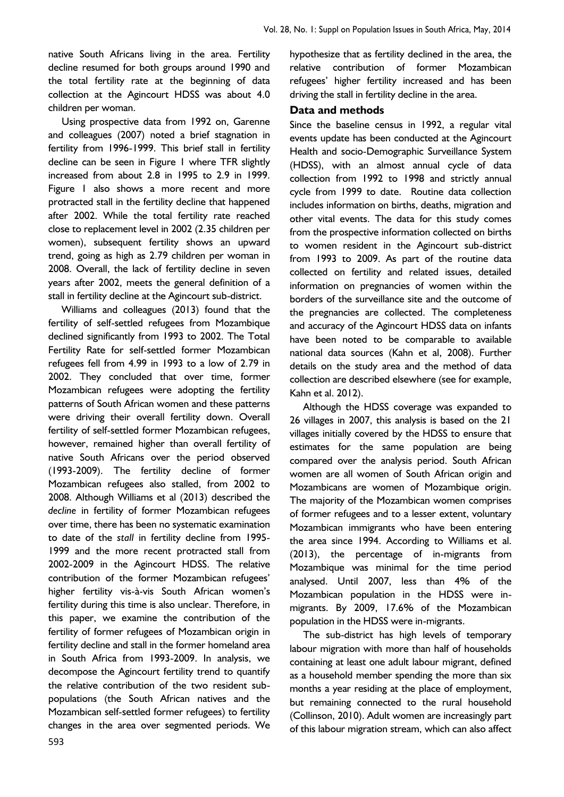native South Africans living in the area. Fertility decline resumed for both groups around 1990 and the total fertility rate at the beginning of data collection at the Agincourt HDSS was about 4.0 children per woman.

Using prospective data from 1992 on, Garenne and colleagues (2007) noted a brief stagnation in fertility from 1996-1999. This brief stall in fertility decline can be seen in Figure 1 where TFR slightly increased from about 2.8 in 1995 to 2.9 in 1999. Figure 1 also shows a more recent and more protracted stall in the fertility decline that happened after 2002. While the total fertility rate reached close to replacement level in 2002 (2.35 children per women), subsequent fertility shows an upward trend, going as high as 2.79 children per woman in 2008. Overall, the lack of fertility decline in seven years after 2002, meets the general definition of a stall in fertility decline at the Agincourt sub-district.

Williams and colleagues (2013) found that the fertility of self-settled refugees from Mozambique declined significantly from 1993 to 2002. The Total Fertility Rate for self-settled former Mozambican refugees fell from 4.99 in 1993 to a low of 2.79 in 2002. They concluded that over time, former Mozambican refugees were adopting the fertility patterns of South African women and these patterns were driving their overall fertility down. Overall fertility of self-settled former Mozambican refugees, however, remained higher than overall fertility of native South Africans over the period observed (1993-2009). The fertility decline of former Mozambican refugees also stalled, from 2002 to 2008. Although Williams et al (2013) described the *decline* in fertility of former Mozambican refugees over time, there has been no systematic examination to date of the *stall* in fertility decline from 1995- 1999 and the more recent protracted stall from 2002-2009 in the Agincourt HDSS. The relative contribution of the former Mozambican refugees' higher fertility vis-à-vis South African women's fertility during this time is also unclear. Therefore, in this paper, we examine the contribution of the fertility of former refugees of Mozambican origin in fertility decline and stall in the former homeland area in South Africa from 1993-2009. In analysis, we decompose the Agincourt fertility trend to quantify the relative contribution of the two resident subpopulations (the South African natives and the Mozambican self-settled former refugees) to fertility changes in the area over segmented periods. We

hypothesize that as fertility declined in the area, the relative contribution of former Mozambican refugees' higher fertility increased and has been driving the stall in fertility decline in the area.

#### **Data and methods**

Since the baseline census in 1992, a regular vital events update has been conducted at the Agincourt Health and socio-Demographic Surveillance System (HDSS), with an almost annual cycle of data collection from 1992 to 1998 and strictly annual cycle from 1999 to date. Routine data collection includes information on births, deaths, migration and other vital events. The data for this study comes from the prospective information collected on births to women resident in the Agincourt sub-district from 1993 to 2009. As part of the routine data collected on fertility and related issues, detailed information on pregnancies of women within the borders of the surveillance site and the outcome of the pregnancies are collected. The completeness and accuracy of the Agincourt HDSS data on infants have been noted to be comparable to available national data sources (Kahn et al, 2008). Further details on the study area and the method of data collection are described elsewhere (see for example, Kahn et al. 2012).

Although the HDSS coverage was expanded to 26 villages in 2007, this analysis is based on the 21 villages initially covered by the HDSS to ensure that estimates for the same population are being compared over the analysis period. South African women are all women of South African origin and Mozambicans are women of Mozambique origin. The majority of the Mozambican women comprises of former refugees and to a lesser extent, voluntary Mozambican immigrants who have been entering the area since 1994. According to Williams et al. (2013), the percentage of in-migrants from Mozambique was minimal for the time period analysed. Until 2007, less than 4% of the Mozambican population in the HDSS were inmigrants. By 2009, 17.6% of the Mozambican population in the HDSS were in-migrants.

The sub-district has high levels of temporary labour migration with more than half of households containing at least one adult labour migrant, defined as a household member spending the more than six months a year residing at the place of employment, but remaining connected to the rural household (Collinson, 2010). Adult women are increasingly part of this labour migration stream, which can also affect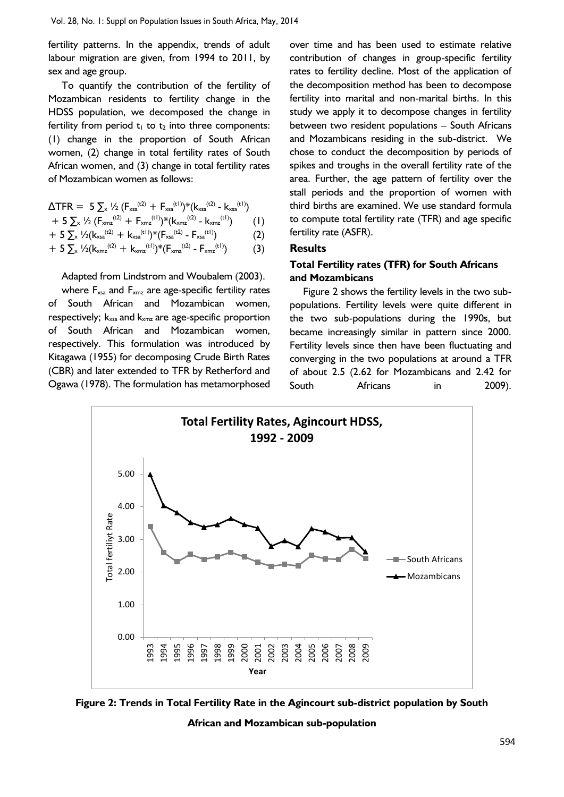fertility patterns. In the appendix, trends of adult labour migration are given, from 1994 to 2011, by sex and age group.

To quantify the contribution of the fertility of Mozambican residents to fertility change in the HDSS population, we decomposed the change in fertility from period  $t_1$  to  $t_2$  into three components: (1) change in the proportion of South African women, (2) change in total fertility rates of South African women, and (3) change in total fertility rates of Mozambican women as follows:

$$
\Delta \text{TFR} = 5 \sum_{x} \frac{1}{2} \left( F_{xsa}^{(t2)} + F_{xsa}^{(t1)} \right) * \left( k_{xsa}^{(t2)} - k_{xsa}^{(t1)} \right)
$$

$$
+ 5 \sum_{x} \frac{1}{2} \left( F_{x m z}^{(t2)} + F_{x m z}^{(t1)} \right)^* (k_{x m z}^{(t2)} - k_{x m z}^{(t1)}) \qquad (1)
$$

$$
+ 5 \sum_{x} \frac{1}{2}(k_{xsa}^{(t2)} + k_{xsa}^{(t1)})^*(F_{xsa}^{(t2)} - F_{xsa}^{(t1)}) \tag{2}
$$

$$
+ 5 \sum_{x} \frac{1}{2} (k_{xmx}^{(t2)} + k_{xmx}^{(t1)})^* (F_{xmx}^{(t2)} - F_{xmx}^{(t1)}) \tag{3}
$$

Adapted from Lindstrom and Woubalem (2003).

where  $F_{xsa}$  and  $F_{xms}$  are age-specific fertility rates of South African and Mozambican women, respectively;  $k_{xsa}$  and  $k_{xmx}$  are age-specific proportion of South African and Mozambican women, respectively. This formulation was introduced by Kitagawa (1955) for decomposing Crude Birth Rates (CBR) and later extended to TFR by Retherford and Ogawa (1978). The formulation has metamorphosed over time and has been used to estimate relative contribution of changes in group-specific fertility rates to fertility decline. Most of the application of the decomposition method has been to decompose fertility into marital and non-marital births. In this study we apply it to decompose changes in fertility between two resident populations – South Africans and Mozambicans residing in the sub-district. We chose to conduct the decomposition by periods of spikes and troughs in the overall fertility rate of the area. Further, the age pattern of fertility over the stall periods and the proportion of women with third births are examined. We use standard formula to compute total fertility rate (TFR) and age specific fertility rate (ASFR).

## **Results**

## **Total Fertility rates (TFR) for South Africans and Mozambicans**

Figure 2 shows the fertility levels in the two subpopulations. Fertility levels were quite different in the two sub-populations during the 1990s, but became increasingly similar in pattern since 2000. Fertility levels since then have been fluctuating and converging in the two populations at around a TFR of about 2.5 (2.62 for Mozambicans and 2.42 for South Africans in 2009).



**Figure 2: Trends in Total Fertility Rate in the Agincourt sub-district population by South** 

**African and Mozambican sub-population**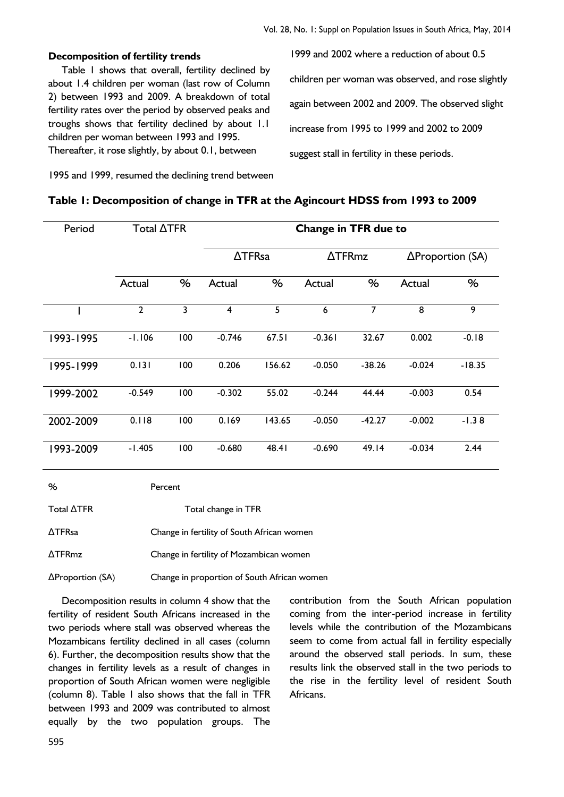#### **Decomposition of fertility trends**

Table 1 shows that overall, fertility declined by about 1.4 children per woman (last row of Column 2) between 1993 and 2009. A breakdown of total fertility rates over the period by observed peaks and troughs shows that fertility declined by about 1.1 children per woman between 1993 and 1995. Thereafter, it rose slightly, by about 0.1, between

1999 and 2002 where a reduction of about 0.5 children per woman was observed, and rose slightly again between 2002 and 2009. The observed slight increase from 1995 to 1999 and 2002 to 2009 suggest stall in fertility in these periods.

1995 and 1999, resumed the declining trend between

#### **Table 1: Decomposition of change in TFR at the Agincourt HDSS from 1993 to 2009**

| Period    | Total $\triangle TFR$ |     | <b>Change in TFR due to</b> |        |               |          |                          |          |
|-----------|-----------------------|-----|-----------------------------|--------|---------------|----------|--------------------------|----------|
|           |                       |     | $\triangle$ TFRsa           |        | <b>ATFRmz</b> |          | $\Delta$ Proportion (SA) |          |
|           | Actual                | %   | Actual                      | %      | Actual        | %        | Actual                   | %        |
|           | $\overline{2}$        | 3   | $\overline{\mathbf{4}}$     | 5      | 6             | 7        | 8                        | 9        |
| 993-1995  | $-1.106$              | 100 | $-0.746$                    | 67.51  | $-0.361$      | 32.67    | 0.002                    | $-0.18$  |
| 1995-1999 | 0.131                 | 100 | 0.206                       | 156.62 | $-0.050$      | $-38.26$ | $-0.024$                 | $-18.35$ |
| 1999-2002 | $-0.549$              | 100 | $-0.302$                    | 55.02  | $-0.244$      | 44.44    | $-0.003$                 | 0.54     |
| 2002-2009 | 0.118                 | 100 | 0.169                       | 143.65 | $-0.050$      | $-42.27$ | $-0.002$                 | $-1.38$  |
| 1993-2009 | $-1.405$              | 100 | $-0.680$                    | 48.41  | $-0.690$      | 49.14    | $-0.034$                 | 2.44     |

| %                        | Percent                                     |
|--------------------------|---------------------------------------------|
| Total $\triangle TFR$    | Total change in TFR                         |
| $\triangle TFR$ sa       | Change in fertility of South African women  |
| $\Delta$ TFRmz           | Change in fertility of Mozambican women     |
| $\Delta$ Proportion (SA) | Change in proportion of South African women |

Decomposition results in column 4 show that the fertility of resident South Africans increased in the two periods where stall was observed whereas the Mozambicans fertility declined in all cases (column 6). Further, the decomposition results show that the changes in fertility levels as a result of changes in proportion of South African women were negligible (column 8). Table 1 also shows that the fall in TFR between 1993 and 2009 was contributed to almost equally by the two population groups. The

contribution from the South African population coming from the inter-period increase in fertility levels while the contribution of the Mozambicans seem to come from actual fall in fertility especially around the observed stall periods. In sum, these results link the observed stall in the two periods to the rise in the fertility level of resident South Africans.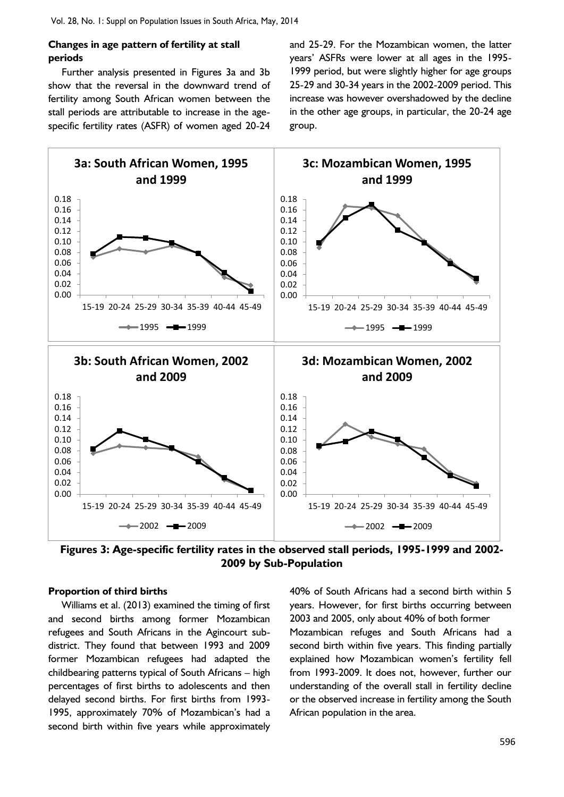#### **Changes in age pattern of fertility at stall periods**

Further analysis presented in Figures 3a and 3b show that the reversal in the downward trend of fertility among South African women between the stall periods are attributable to increase in the agespecific fertility rates (ASFR) of women aged 20-24

and 25-29. For the Mozambican women, the latter years' ASFRs were lower at all ages in the 1995- 1999 period, but were slightly higher for age groups 25-29 and 30-34 years in the 2002-2009 period. This increase was however overshadowed by the decline in the other age groups, in particular, the 20-24 age group.



**Figures 3: Age-specific fertility rates in the observed stall periods, 1995-1999 and 2002- 2009 by Sub-Population**

#### **Proportion of third births**

Williams et al. (2013) examined the timing of first and second births among former Mozambican refugees and South Africans in the Agincourt subdistrict. They found that between 1993 and 2009 former Mozambican refugees had adapted the childbearing patterns typical of South Africans – high percentages of first births to adolescents and then delayed second births. For first births from 1993- 1995, approximately 70% of Mozambican's had a second birth within five years while approximately

40% of South Africans had a second birth within 5 years. However, for first births occurring between 2003 and 2005, only about 40% of both former Mozambican refuges and South Africans had a second birth within five years. This finding partially explained how Mozambican women's fertility fell from 1993-2009. It does not, however, further our understanding of the overall stall in fertility decline or the observed increase in fertility among the South African population in the area.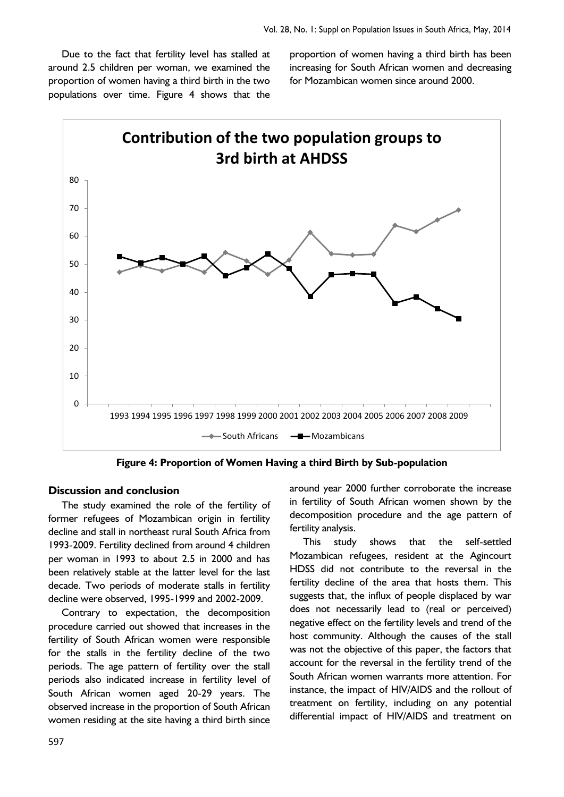Due to the fact that fertility level has stalled at around 2.5 children per woman, we examined the proportion of women having a third birth in the two populations over time. Figure 4 shows that the proportion of women having a third birth has been increasing for South African women and decreasing for Mozambican women since around 2000.



**Figure 4: Proportion of Women Having a third Birth by Sub-population**

#### **Discussion and conclusion**

The study examined the role of the fertility of former refugees of Mozambican origin in fertility decline and stall in northeast rural South Africa from 1993-2009. Fertility declined from around 4 children per woman in 1993 to about 2.5 in 2000 and has been relatively stable at the latter level for the last decade. Two periods of moderate stalls in fertility decline were observed, 1995-1999 and 2002-2009.

Contrary to expectation, the decomposition procedure carried out showed that increases in the fertility of South African women were responsible for the stalls in the fertility decline of the two periods. The age pattern of fertility over the stall periods also indicated increase in fertility level of South African women aged 20-29 years. The observed increase in the proportion of South African women residing at the site having a third birth since

around year 2000 further corroborate the increase in fertility of South African women shown by the decomposition procedure and the age pattern of fertility analysis.

This study shows that the self-settled Mozambican refugees, resident at the Agincourt HDSS did not contribute to the reversal in the fertility decline of the area that hosts them. This suggests that, the influx of people displaced by war does not necessarily lead to (real or perceived) negative effect on the fertility levels and trend of the host community. Although the causes of the stall was not the objective of this paper, the factors that account for the reversal in the fertility trend of the South African women warrants more attention. For instance, the impact of HIV/AIDS and the rollout of treatment on fertility, including on any potential differential impact of HIV/AIDS and treatment on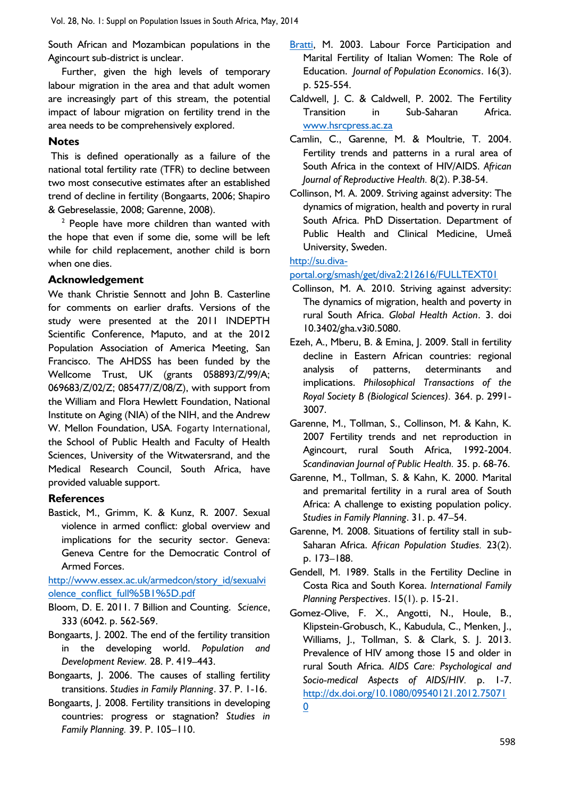South African and Mozambican populations in the Agincourt sub-district is unclear.

Further, given the high levels of temporary labour migration in the area and that adult women are increasingly part of this stream, the potential impact of labour migration on fertility trend in the area needs to be comprehensively explored.

#### **Notes**

This is defined operationally as a failure of the national total fertility rate (TFR) to decline between two most consecutive estimates after an established trend of decline in fertility (Bongaarts, 2006; Shapiro & Gebreselassie, 2008; Garenne, 2008).

 $2$  People have more children than wanted with the hope that even if some die, some will be left while for child replacement, another child is born when one dies.

#### **Acknowledgement**

We thank Christie Sennott and John B. Casterline for comments on earlier drafts. Versions of the study were presented at the 2011 INDEPTH Scientific Conference, Maputo, and at the 2012 Population Association of America Meeting, San Francisco. The AHDSS has been funded by the Wellcome Trust, UK (grants 058893/Z/99/A; 069683/Z/02/Z; 085477/Z/08/Z), with support from the William and Flora Hewlett Foundation, National Institute on Aging (NIA) of the NIH, and the Andrew W. Mellon Foundation, USA. Fogarty International, the School of Public Health and Faculty of Health Sciences, University of the Witwatersrand, and the Medical Research Council, South Africa, have provided valuable support.

#### **References**

Bastick, M., Grimm, K. & Kunz, R. 2007. Sexual violence in armed conflict: global overview and implications for the security sector. Geneva: Geneva Centre for the Democratic Control of Armed Forces.

[http://www.essex.ac.uk/armedcon/story\\_id/sexualvi](http://www.essex.ac.uk/armedcon/story_id/sexualviolence_conflict_full%5B1%5D.pdf) [olence\\_conflict\\_full%5B1%5D.pdf](http://www.essex.ac.uk/armedcon/story_id/sexualviolence_conflict_full%5B1%5D.pdf)

- Bloom, D. E. 2011. 7 Billion and Counting. *Science*, 333 (6042. p. 562-569.
- Bongaarts, J. 2002. The end of the fertility transition in the developing world. *Population and Development Review.* 28. P. 419–443.
- Bongaarts, J. 2006. The causes of stalling fertility transitions. *Studies in Family Planning*. 37. P. 1-16.
- Bongaarts, J. 2008. Fertility transitions in developing countries: progress or stagnation? *Studies in Family Planning.* 39. P. 105–110.
- [Bratti,](http://www.jstor.org/action/doBasicSearch?Query=au%3A%22Massimiliano+Bratti%22&wc=on) M. 2003. Labour Force Participation and Marital Fertility of Italian Women: The Role of Education. *Journal of Population Economics*. 16(3). p. 525-554.
- Caldwell, J. C. & Caldwell, P. 2002. The Fertility Transition in Sub-Saharan Africa. [www.hsrcpress.ac.za](http://www.hsrcpress.ac.za/)
- Camlin, C., Garenne, M. & Moultrie, T. 2004. Fertility trends and patterns in a rural area of South Africa in the context of HIV/AIDS. *African Journal of Reproductive Health.* 8(2). P.38-54.
- Collinson, M. A. 2009. Striving against adversity: The dynamics of migration, health and poverty in rural South Africa. PhD Dissertation. Department of Public Health and Clinical Medicine, Umeå University, Sweden.

#### [http://su.diva-](http://su.diva-portal.org/smash/get/diva2:212616/FULLTEXT01)

[portal.org/smash/get/diva2:212616/FULLTEXT01](http://su.diva-portal.org/smash/get/diva2:212616/FULLTEXT01)

- Collinson, M. A. 2010. Striving against adversity: The dynamics of migration, health and poverty in rural South Africa. *Global Health Action*. 3. doi 10.3402/gha.v3i0.5080.
- Ezeh, A., Mberu, B. & Emina, J. 2009. Stall in fertility decline in Eastern African countries: regional analysis of patterns, determinants and implications. *Philosophical Transactions of the Royal Society B (Biological Sciences).* 364. p. 2991- 3007.
- Garenne, M., Tollman, S., Collinson, M. & Kahn, K. 2007 Fertility trends and net reproduction in Agincourt, rural South Africa, 1992-2004. *Scandinavian Journal of Public Health.* 35. p. 68-76.
- Garenne, M., Tollman, S. & Kahn, K. 2000. Marital and premarital fertility in a rural area of South Africa: A challenge to existing population policy. *Studies in Family Planning*. 31. p. 47–54.
- Garenne, M. 2008. Situations of fertility stall in sub-Saharan Africa. *African Population Studies.* 23(2). p. 173–188.
- Gendell, M. 1989. Stalls in the Fertility Decline in Costa Rica and South Korea. *International Family Planning Perspectives*. 15(1). p. 15-21.
- Gomez-Olive, F. X., Angotti, N., Houle, B., Klipstein-Grobusch, K., Kabudula, C., Menken, J., Williams, J., Tollman, S. & Clark, S. J. 2013. Prevalence of HIV among those 15 and older in rural South Africa. *AIDS Care: Psychological and Socio-medical Aspects of AIDS/HIV.* p. 1-7. [http://dx.doi.org/10.1080/09540121.2012.75071](http://dx.doi.org/10.1080/09540121.2012.750710) [0](http://dx.doi.org/10.1080/09540121.2012.750710)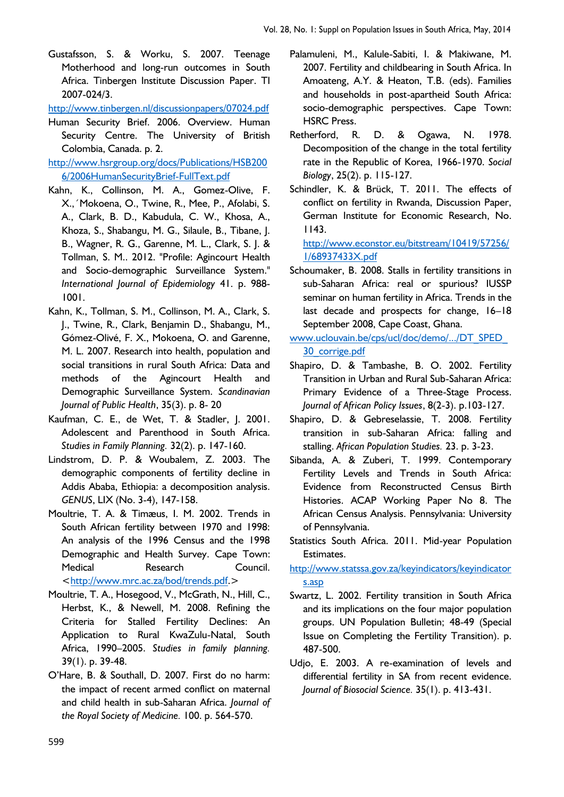Gustafsson, S. & Worku, S. 2007. Teenage Motherhood and long-run outcomes in South Africa. Tinbergen Institute Discussion Paper. TI 2007-024/3.

<http://www.tinbergen.nl/discussionpapers/07024.pdf>

- Human Security Brief. 2006. Overview. Human Security Centre. The University of British Colombia, Canada. p. 2.
- [http://www.hsrgroup.org/docs/Publications/HSB200](http://www.hsrgroup.org/docs/Publications/HSB2006/2006HumanSecurityBrief-FullText.pdf) [6/2006HumanSecurityBrief-FullText.pdf](http://www.hsrgroup.org/docs/Publications/HSB2006/2006HumanSecurityBrief-FullText.pdf)
- Kahn, K., Collinson, M. A., Gomez-Olive, F. X.,´Mokoena, O., Twine, R., Mee, P., Afolabi, S. A., Clark, B. D., Kabudula, C. W., Khosa, A., Khoza, S., Shabangu, M. G., Silaule, B., Tibane, J. B., Wagner, R. G., Garenne, M. L., Clark, S. J. & Tollman, S. M.. 2012. "Profile: Agincourt Health and Socio-demographic Surveillance System." *International Journal of Epidemiology* 41. p. 988- 1001.
- Kahn, K., Tollman, S. M., Collinson, M. A., Clark, S. J., Twine, R., Clark, Benjamin D., Shabangu, M., Gómez-Olivé, F. X., Mokoena, O. and Garenne, M. L. 2007. Research into health, population and social transitions in rural South Africa: Data and methods of the Agincourt Health and Demographic Surveillance System. *Scandinavian Journal of Public Health*, 35(3). p. 8- 20
- Kaufman, C. E., de Wet, T. & Stadler, J. 2001. Adolescent and Parenthood in South Africa. *Studies in Family Planning.* 32(2). p. 147-160.
- Lindstrom, D. P. & Woubalem, Z. 2003. The demographic components of fertility decline in Addis Ababa, Ethiopia: a decomposition analysis. *GENUS*, LIX (No. 3-4), 147-158.
- Moultrie, T. A. & Timæus, I. M. 2002. Trends in South African fertility between 1970 and 1998: An analysis of the 1996 Census and the 1998 Demographic and Health Survey. Cape Town: Medical Research Council. [<http://www.mrc.ac.za/bod/trends.pdf.](http://www.mrc.ac.za/bod/trends.pdf)>
- Moultrie, T. A., Hosegood, V., McGrath, N., Hill, C., Herbst, K., & Newell, M. 2008. Refining the Criteria for Stalled Fertility Declines: An Application to Rural KwaZulu-Natal, South Africa, 1990–2005. *Studies in family planning.* 39(1). p. 39-48.
- O'Hare, B. & Southall, D. 2007. First do no harm: the impact of recent armed conflict on maternal and child health in sub-Saharan Africa. *Journal of the Royal Society of Medicine.* 100. p. 564-570.
- Palamuleni, M., Kalule-Sabiti, I. & Makiwane, M. 2007. Fertility and childbearing in South Africa. In Amoateng, A.Y. & Heaton, T.B. (eds). Families and households in post-apartheid South Africa: socio-demographic perspectives. Cape Town: HSRC Press.
- Retherford, R. D. & Ogawa, N. 1978. Decomposition of the change in the total fertility rate in the Republic of Korea, 1966-1970. *Social Biology*, 25(2). p. 115-127.
- Schindler, K. & Brück, T. 2011. The effects of conflict on fertility in Rwanda, Discussion Paper, German Institute for Economic Research, No. 1143.

[http://www.econstor.eu/bitstream/10419/57256/](http://www.econstor.eu/bitstream/10419/57256/1/68937433X.pdf) [1/68937433X.pdf](http://www.econstor.eu/bitstream/10419/57256/1/68937433X.pdf)

- Schoumaker, B. 2008. Stalls in fertility transitions in sub-Saharan Africa: real or spurious? IUSSP seminar on human fertility in Africa. Trends in the last decade and prospects for change, 16–18 September 2008, Cape Coast, Ghana.
- [www.uclouvain.be/cps/ucl/doc/demo/.../DT\\_SPED\\_](file:///C:/Users/a0017813/AppData/Local/Temp/www.uclouvain.be/cps/ucl/doc/DT_SPED_30_corrige.pdf) [30\\_corrige.pdf](file:///C:/Users/a0017813/AppData/Local/Temp/www.uclouvain.be/cps/ucl/doc/DT_SPED_30_corrige.pdf)
- Shapiro, D. & Tambashe, B. O. 2002. Fertility Transition in Urban and Rural Sub-Saharan Africa: Primary Evidence of a Three-Stage Process. *Journal of African Policy Issues*, 8(2-3). p.103-127.
- Shapiro, D. & Gebreselassie, T. 2008. Fertility transition in sub-Saharan Africa: falling and stalling. *African Population Studies.* 23. p. 3-23.
- Sibanda, A. & Zuberi, T. 1999. Contemporary Fertility Levels and Trends in South Africa: Evidence from Reconstructed Census Birth Histories. ACAP Working Paper No 8. The African Census Analysis. Pennsylvania: University of Pennsylvania.
- Statistics South Africa. 2011. Mid-year Population Estimates.

[http://www.statssa.gov.za/keyindicators/keyindicator](http://www.statssa.gov.za/keyindicators/keyindicators.asp) [s.asp](http://www.statssa.gov.za/keyindicators/keyindicators.asp)

- Swartz, L. 2002. Fertility transition in South Africa and its implications on the four major population groups. UN Population Bulletin; 48-49 (Special Issue on Completing the Fertility Transition). p. 487-500.
- Udjo, E. 2003. A re-examination of levels and differential fertility in SA from recent evidence. *Journal of Biosocial Science.* 35(1). p. 413-431.